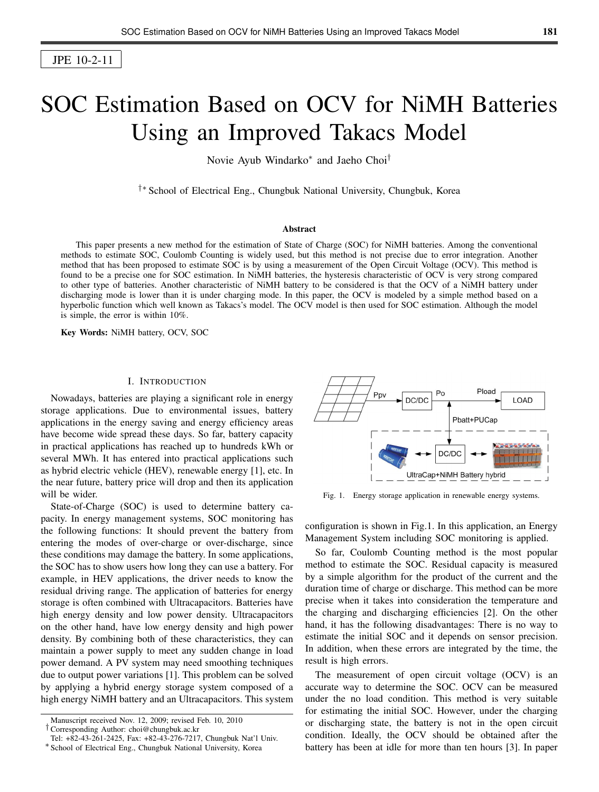JPE 10-2-11

# SOC Estimation Based on OCV for NiMH Batteries Using an Improved Takacs Model

Novie Ayub Windarko<sup>∗</sup> and Jaeho Choi†

†∗ School of Electrical Eng., Chungbuk National University, Chungbuk, Korea

## Abstract

This paper presents a new method for the estimation of State of Charge (SOC) for NiMH batteries. Among the conventional methods to estimate SOC, Coulomb Counting is widely used, but this method is not precise due to error integration. Another method that has been proposed to estimate SOC is by using a measurement of the Open Circuit Voltage (OCV). This method is found to be a precise one for SOC estimation. In NiMH batteries, the hysteresis characteristic of OCV is very strong compared to other type of batteries. Another characteristic of NiMH battery to be considered is that the OCV of a NiMH battery under discharging mode is lower than it is under charging mode. In this paper, the OCV is modeled by a simple method based on a hyperbolic function which well known as Takacs's model. The OCV model is then used for SOC estimation. Although the model is simple, the error is within 10%.

Key Words: NiMH battery, OCV, SOC

# I. INTRODUCTION

Nowadays, batteries are playing a significant role in energy storage applications. Due to environmental issues, battery applications in the energy saving and energy efficiency areas have become wide spread these days. So far, battery capacity in practical applications has reached up to hundreds kWh or several MWh. It has entered into practical applications such as hybrid electric vehicle (HEV), renewable energy [1], etc. In the near future, battery price will drop and then its application will be wider.

State-of-Charge (SOC) is used to determine battery capacity. In energy management systems, SOC monitoring has the following functions: It should prevent the battery from entering the modes of over-charge or over-discharge, since these conditions may damage the battery. In some applications, the SOC has to show users how long they can use a battery. For example, in HEV applications, the driver needs to know the residual driving range. The application of batteries for energy storage is often combined with Ultracapacitors. Batteries have high energy density and low power density. Ultracapacitors on the other hand, have low energy density and high power density. By combining both of these characteristics, they can maintain a power supply to meet any sudden change in load power demand. A PV system may need smoothing techniques due to output power variations [1]. This problem can be solved by applying a hybrid energy storage system composed of a high energy NiMH battery and an Ultracapacitors. This system

†Corresponding Author: choi@chungbuk.ac.kr



Fig. 1. Energy storage application in renewable energy systems.

configuration is shown in Fig.1. In this application, an Energy Management System including SOC monitoring is applied.

So far, Coulomb Counting method is the most popular method to estimate the SOC. Residual capacity is measured by a simple algorithm for the product of the current and the duration time of charge or discharge. This method can be more precise when it takes into consideration the temperature and the charging and discharging efficiencies [2]. On the other hand, it has the following disadvantages: There is no way to estimate the initial SOC and it depends on sensor precision. In addition, when these errors are integrated by the time, the result is high errors.

The measurement of open circuit voltage (OCV) is an accurate way to determine the SOC. OCV can be measured under the no load condition. This method is very suitable for estimating the initial SOC. However, under the charging or discharging state, the battery is not in the open circuit condition. Ideally, the OCV should be obtained after the battery has been at idle for more than ten hours [3]. In paper

Manuscript received Nov. 12, 2009; revised Feb. 10, 2010

Tel: +82-43-261-2425, Fax: +82-43-276-7217, Chungbuk Nat'l Univ.

<sup>∗</sup> School of Electrical Eng., Chungbuk National University, Korea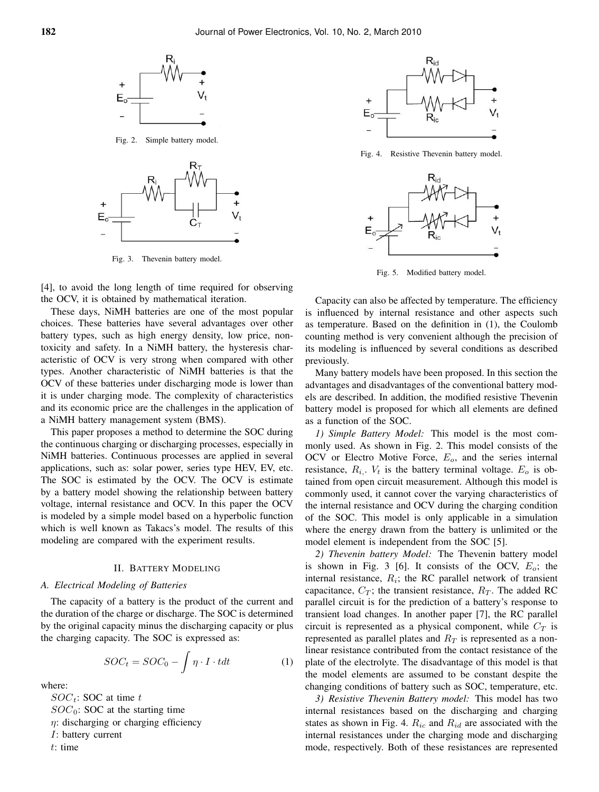

Fig. 2. Simple battery model.



Fig. 3. Thevenin battery model.

[4], to avoid the long length of time required for observing the OCV, it is obtained by mathematical iteration.

These days, NiMH batteries are one of the most popular choices. These batteries have several advantages over other battery types, such as high energy density, low price, nontoxicity and safety. In a NiMH battery, the hysteresis characteristic of OCV is very strong when compared with other types. Another characteristic of NiMH batteries is that the OCV of these batteries under discharging mode is lower than it is under charging mode. The complexity of characteristics and its economic price are the challenges in the application of a NiMH battery management system (BMS).

This paper proposes a method to determine the SOC during the continuous charging or discharging processes, especially in NiMH batteries. Continuous processes are applied in several applications, such as: solar power, series type HEV, EV, etc. The SOC is estimated by the OCV. The OCV is estimate by a battery model showing the relationship between battery voltage, internal resistance and OCV. In this paper the OCV is modeled by a simple model based on a hyperbolic function which is well known as Takacs's model. The results of this modeling are compared with the experiment results.

## II. BATTERY MODELING

## *A. Electrical Modeling of Batteries*

The capacity of a battery is the product of the current and the duration of the charge or discharge. The SOC is determined by the original capacity minus the discharging capacity or plus the charging capacity. The SOC is expressed as:

$$
SOC_t = SOC_0 - \int \eta \cdot I \cdot t dt \tag{1}
$$

where:

 $SOC_t$ : SOC at time t  $SOC<sub>0</sub>$ : SOC at the starting time  $\eta$ : discharging or charging efficiency I: battery current t: time



Fig. 4. Resistive Thevenin battery model.



Fig. 5. Modified battery model.

Capacity can also be affected by temperature. The efficiency is influenced by internal resistance and other aspects such as temperature. Based on the definition in (1), the Coulomb counting method is very convenient although the precision of its modeling is influenced by several conditions as described previously.

Many battery models have been proposed. In this section the advantages and disadvantages of the conventional battery models are described. In addition, the modified resistive Thevenin battery model is proposed for which all elements are defined as a function of the SOC.

*1) Simple Battery Model:* This model is the most commonly used. As shown in Fig. 2. This model consists of the OCV or Electro Motive Force,  $E<sub>o</sub>$ , and the series internal resistance,  $R_i$ .  $V_t$  is the battery terminal voltage.  $E_o$  is obtained from open circuit measurement. Although this model is commonly used, it cannot cover the varying characteristics of the internal resistance and OCV during the charging condition of the SOC. This model is only applicable in a simulation where the energy drawn from the battery is unlimited or the model element is independent from the SOC [5].

*2) Thevenin battery Model:* The Thevenin battery model is shown in Fig. 3 [6]. It consists of the OCV,  $E_o$ ; the internal resistance,  $R_i$ ; the RC parallel network of transient capacitance,  $C_T$ ; the transient resistance,  $R_T$ . The added RC parallel circuit is for the prediction of a battery's response to transient load changes. In another paper [7], the RC parallel circuit is represented as a physical component, while  $C_T$  is represented as parallel plates and  $R_T$  is represented as a nonlinear resistance contributed from the contact resistance of the plate of the electrolyte. The disadvantage of this model is that the model elements are assumed to be constant despite the changing conditions of battery such as SOC, temperature, etc.

*3) Resistive Thevenin Battery model:* This model has two internal resistances based on the discharging and charging states as shown in Fig. 4.  $R_{ic}$  and  $R_{id}$  are associated with the internal resistances under the charging mode and discharging mode, respectively. Both of these resistances are represented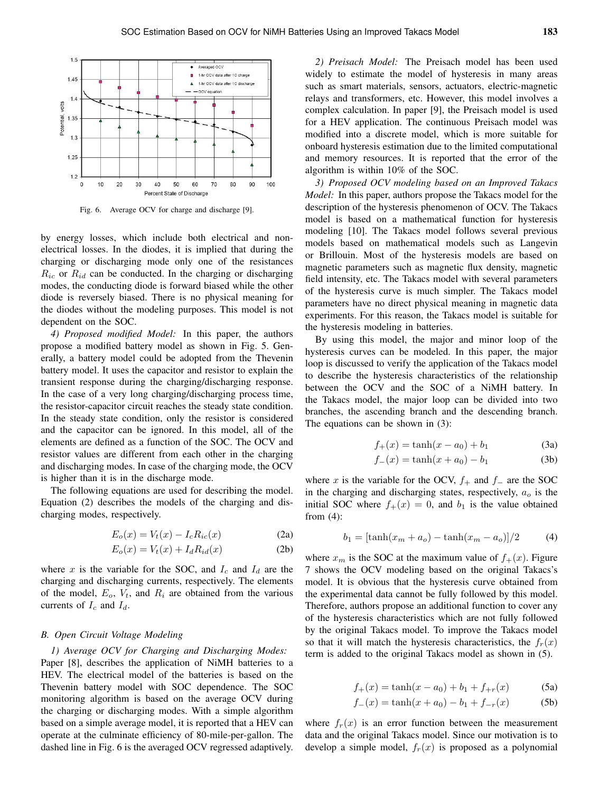

Fig. 6. Average OCV for charge and discharge [9].

by energy losses, which include both electrical and nonelectrical losses. In the diodes, it is implied that during the charging or discharging mode only one of the resistances  $R_{ic}$  or  $R_{id}$  can be conducted. In the charging or discharging modes, the conducting diode is forward biased while the other diode is reversely biased. There is no physical meaning for the diodes without the modeling purposes. This model is not dependent on the SOC.

*4) Proposed modified Model:* In this paper, the authors propose a modified battery model as shown in Fig. 5. Generally, a battery model could be adopted from the Thevenin battery model. It uses the capacitor and resistor to explain the transient response during the charging/discharging response. In the case of a very long charging/discharging process time, the resistor-capacitor circuit reaches the steady state condition. In the steady state condition, only the resistor is considered and the capacitor can be ignored. In this model, all of the elements are defined as a function of the SOC. The OCV and resistor values are different from each other in the charging and discharging modes. In case of the charging mode, the OCV is higher than it is in the discharge mode.

The following equations are used for describing the model. Equation (2) describes the models of the charging and discharging modes, respectively.

$$
E_o(x) = V_t(x) - I_c R_{ic}(x)
$$
 (2a)

$$
E_o(x) = V_t(x) + I_d R_{id}(x)
$$
 (2b)

where x is the variable for the SOC, and  $I_c$  and  $I_d$  are the charging and discharging currents, respectively. The elements of the model,  $E_o$ ,  $V_t$ , and  $R_i$  are obtained from the various currents of  $I_c$  and  $I_d$ .

#### *B. Open Circuit Voltage Modeling*

*1) Average OCV for Charging and Discharging Modes:* Paper [8], describes the application of NiMH batteries to a HEV. The electrical model of the batteries is based on the Thevenin battery model with SOC dependence. The SOC monitoring algorithm is based on the average OCV during the charging or discharging modes. With a simple algorithm based on a simple average model, it is reported that a HEV can operate at the culminate efficiency of 80-mile-per-gallon. The dashed line in Fig. 6 is the averaged OCV regressed adaptively.

*2) Preisach Model:* The Preisach model has been used widely to estimate the model of hysteresis in many areas such as smart materials, sensors, actuators, electric-magnetic relays and transformers, etc. However, this model involves a complex calculation. In paper [9], the Preisach model is used for a HEV application. The continuous Preisach model was modified into a discrete model, which is more suitable for onboard hysteresis estimation due to the limited computational and memory resources. It is reported that the error of the algorithm is within 10% of the SOC.

*3) Proposed OCV modeling based on an Improved Takacs Model:* In this paper, authors propose the Takacs model for the description of the hysteresis phenomenon of OCV. The Takacs model is based on a mathematical function for hysteresis modeling [10]. The Takacs model follows several previous models based on mathematical models such as Langevin or Brillouin. Most of the hysteresis models are based on magnetic parameters such as magnetic flux density, magnetic field intensity, etc. The Takacs model with several parameters of the hysteresis curve is much simpler. The Takacs model parameters have no direct physical meaning in magnetic data experiments. For this reason, the Takacs model is suitable for the hysteresis modeling in batteries.

By using this model, the major and minor loop of the hysteresis curves can be modeled. In this paper, the major loop is discussed to verify the application of the Takacs model to describe the hysteresis characteristics of the relationship between the OCV and the SOC of a NiMH battery. In the Takacs model, the major loop can be divided into two branches, the ascending branch and the descending branch. The equations can be shown in (3):

$$
f_{+}(x) = \tanh(x - a_{0}) + b_{1}
$$
 (3a)

$$
f_{-}(x) = \tanh(x + a_0) - b_1
$$
 (3b)

where x is the variable for the OCV,  $f_+$  and  $f_-$  are the SOC in the charging and discharging states, respectively,  $a<sub>o</sub>$  is the initial SOC where  $f_+(x) = 0$ , and  $b_1$  is the value obtained from (4):

$$
b_1 = [\tanh(x_m + a_o) - \tanh(x_m - a_o)]/2 \tag{4}
$$

where  $x_m$  is the SOC at the maximum value of  $f_+(x)$ . Figure 7 shows the OCV modeling based on the original Takacs's model. It is obvious that the hysteresis curve obtained from the experimental data cannot be fully followed by this model. Therefore, authors propose an additional function to cover any of the hysteresis characteristics which are not fully followed by the original Takacs model. To improve the Takacs model so that it will match the hysteresis characteristics, the  $f_r(x)$ term is added to the original Takacs model as shown in (5).

$$
f_{+}(x) = \tanh(x - a_{0}) + b_{1} + f_{+r}(x)
$$
 (5a)

$$
f_{-}(x) = \tanh(x + a_0) - b_1 + f_{-r}(x) \tag{5b}
$$

where  $f_r(x)$  is an error function between the measurement data and the original Takacs model. Since our motivation is to develop a simple model,  $f_r(x)$  is proposed as a polynomial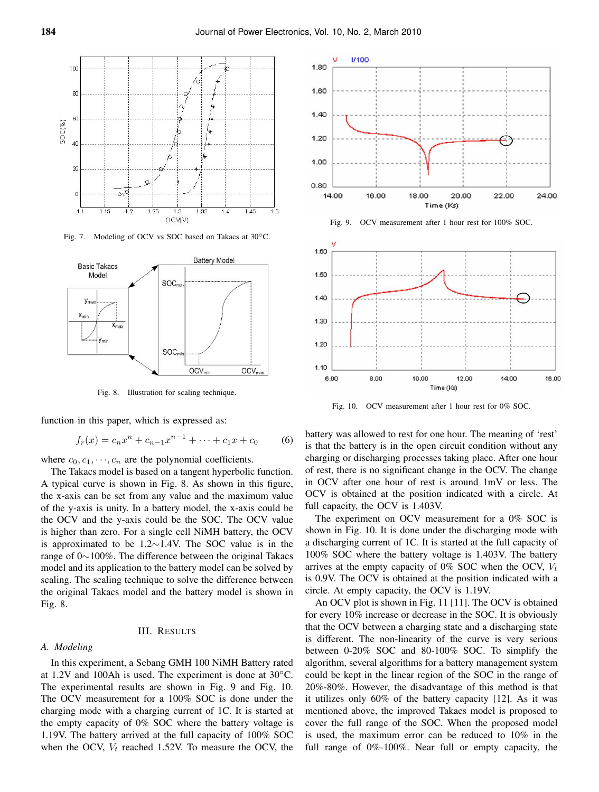

Fig. 7. Modeling of OCV vs SOC based on Takacs at 30◦C.



Fig. 8. Illustration for scaling technique.

function in this paper, which is expressed as:

$$
f_r(x) = c_n x^n + c_{n-1} x^{n-1} + \dots + c_1 x + c_0 \tag{6}
$$

where  $c_0, c_1, \dots, c_n$  are the polynomial coefficients.

The Takacs model is based on a tangent hyperbolic function. A typical curve is shown in Fig. 8. As shown in this figure, the x-axis can be set from any value and the maximum value of the y-axis is unity. In a battery model, the x-axis could be the OCV and the y-axis could be the SOC. The OCV value is higher than zero. For a single cell NiMH battery, the OCV is approximated to be 1.2∼1.4V. The SOC value is in the range of 0∼100%. The difference between the original Takacs model and its application to the battery model can be solved by scaling. The scaling technique to solve the difference between the original Takacs model and the battery model is shown in Fig. 8.

# III. RESULTS

# *A. Modeling*

In this experiment, a Sebang GMH 100 NiMH Battery rated at 1.2V and 100Ah is used. The experiment is done at 30◦C. The experimental results are shown in Fig. 9 and Fig. 10. The OCV measurement for a 100% SOC is done under the charging mode with a charging current of 1C. It is started at the empty capacity of 0% SOC where the battery voltage is 1.19V. The battery arrived at the full capacity of 100% SOC when the OCV,  $V_t$  reached 1.52V. To measure the OCV, the



Fig. 9. OCV measurement after 1 hour rest for 100% SOC.



Fig. 10. OCV measurement after 1 hour rest for 0% SOC.

battery was allowed to rest for one hour. The meaning of 'rest' is that the battery is in the open circuit condition without any charging or discharging processes taking place. After one hour of rest, there is no significant change in the OCV. The change in OCV after one hour of rest is around 1mV or less. The OCV is obtained at the position indicated with a circle. At full capacity, the OCV is 1.403V.

The experiment on OCV measurement for a 0% SOC is shown in Fig. 10. It is done under the discharging mode with a discharging current of 1C. It is started at the full capacity of 100% SOC where the battery voltage is 1.403V. The battery arrives at the empty capacity of 0% SOC when the OCV,  $V_t$ is 0.9V. The OCV is obtained at the position indicated with a circle. At empty capacity, the OCV is 1.19V.

An OCV plot is shown in Fig. 11 [11]. The OCV is obtained for every 10% increase or decrease in the SOC. It is obviously that the OCV between a charging state and a discharging state is different. The non-linearity of the curve is very serious between 0-20% SOC and 80-100% SOC. To simplify the algorithm, several algorithms for a battery management system could be kept in the linear region of the SOC in the range of 20%-80%. However, the disadvantage of this method is that it utilizes only 60% of the battery capacity [12]. As it was mentioned above, the improved Takacs model is proposed to cover the full range of the SOC. When the proposed model is used, the maximum error can be reduced to 10% in the full range of 0%-100%. Near full or empty capacity, the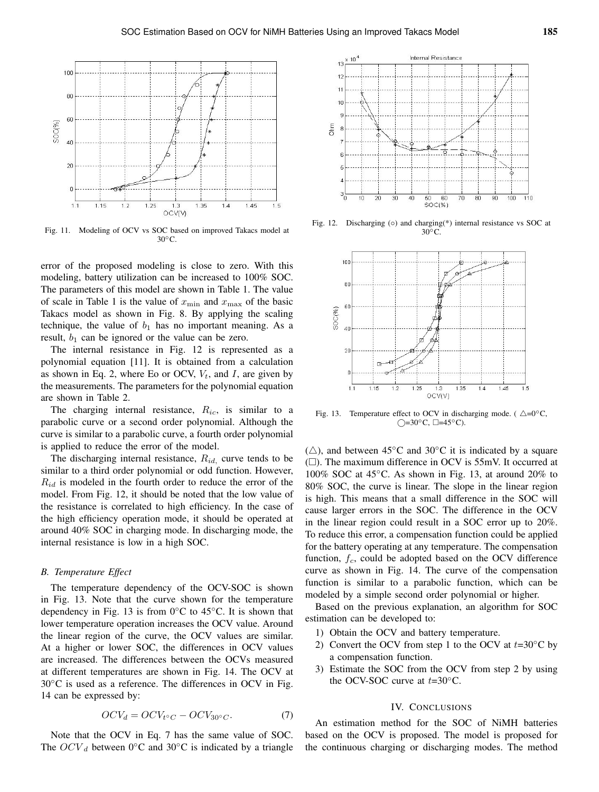

Fig. 11. Modeling of OCV vs SOC based on improved Takacs model at 30<sup>°</sup>C.

error of the proposed modeling is close to zero. With this modeling, battery utilization can be increased to 100% SOC. The parameters of this model are shown in Table 1. The value of scale in Table 1 is the value of  $x_{\min}$  and  $x_{\max}$  of the basic Takacs model as shown in Fig. 8. By applying the scaling technique, the value of  $b_1$  has no important meaning. As a result,  $b_1$  can be ignored or the value can be zero.

The internal resistance in Fig. 12 is represented as a polynomial equation [11]. It is obtained from a calculation as shown in Eq. 2, where Eo or OCV,  $V_t$ , and I, are given by the measurements. The parameters for the polynomial equation are shown in Table 2.

The charging internal resistance,  $R_{ic}$ , is similar to a parabolic curve or a second order polynomial. Although the curve is similar to a parabolic curve, a fourth order polynomial is applied to reduce the error of the model.

The discharging internal resistance,  $R_{id}$ , curve tends to be similar to a third order polynomial or odd function. However,  $R_{id}$  is modeled in the fourth order to reduce the error of the model. From Fig. 12, it should be noted that the low value of the resistance is correlated to high efficiency. In the case of the high efficiency operation mode, it should be operated at around 40% SOC in charging mode. In discharging mode, the internal resistance is low in a high SOC.

## *B. Temperature Effect*

The temperature dependency of the OCV-SOC is shown in Fig. 13. Note that the curve shown for the temperature dependency in Fig. 13 is from  $0^{\circ}$ C to 45<sup> $\circ$ </sup>C. It is shown that lower temperature operation increases the OCV value. Around the linear region of the curve, the OCV values are similar. At a higher or lower SOC, the differences in OCV values are increased. The differences between the OCVs measured at different temperatures are shown in Fig. 14. The OCV at 30◦C is used as a reference. The differences in OCV in Fig. 14 can be expressed by:

$$
OCV_d = OCV_{t \circ C} - OCV_{30 \circ C}.
$$
 (7)

Note that the OCV in Eq. 7 has the same value of SOC. The  $OCV_d$  between 0°C and 30°C is indicated by a triangle



Fig. 12. Discharging (○) and charging(\*) internal resistance vs SOC at  $30^{\circ}$ C.



Fig. 13. Temperature effect to OCV in discharging mode. ( $\triangle = 0$ °C,  $\bigcirc$ =30°C,  $\square$ =45°C).

( $\triangle$ ), and between 45°C and 30°C it is indicated by a square  $(\Box)$ . The maximum difference in OCV is 55mV. It occurred at 100% SOC at 45◦C. As shown in Fig. 13, at around 20% to 80% SOC, the curve is linear. The slope in the linear region is high. This means that a small difference in the SOC will cause larger errors in the SOC. The difference in the OCV in the linear region could result in a SOC error up to 20%. To reduce this error, a compensation function could be applied for the battery operating at any temperature. The compensation function,  $f_c$ , could be adopted based on the OCV difference curve as shown in Fig. 14. The curve of the compensation function is similar to a parabolic function, which can be modeled by a simple second order polynomial or higher.

Based on the previous explanation, an algorithm for SOC estimation can be developed to:

- 1) Obtain the OCV and battery temperature.
- 2) Convert the OCV from step 1 to the OCV at  $t=30^{\circ}$ C by a compensation function.
- 3) Estimate the SOC from the OCV from step 2 by using the OCV-SOC curve at  $t=30^{\circ}$ C.

# IV. CONCLUSIONS

An estimation method for the SOC of NiMH batteries based on the OCV is proposed. The model is proposed for the continuous charging or discharging modes. The method